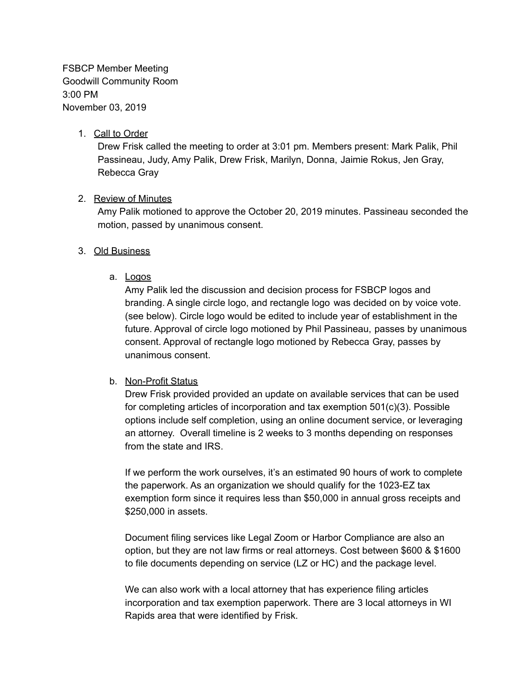FSBCP Member Meeting Goodwill Community Room 3:00 PM November 03, 2019

# 1. Call to Order

Drew Frisk called the meeting to order at 3:01 pm. Members present: Mark Palik, Phil Passineau, Judy, Amy Palik, Drew Frisk, Marilyn, Donna, Jaimie Rokus, Jen Gray, Rebecca Gray

# 2. Review of Minutes

Amy Palik motioned to approve the October 20, 2019 minutes. Passineau seconded the motion, passed by unanimous consent.

## 3. Old Business

a. Logos

Amy Palik led the discussion and decision process for FSBCP logos and branding. A single circle logo, and rectangle logo was decided on by voice vote. (see below). Circle logo would be edited to include year of establishment in the future. Approval of circle logo motioned by Phil Passineau, passes by unanimous consent. Approval of rectangle logo motioned by Rebecca Gray, passes by unanimous consent.

## b. Non-Profit Status

Drew Frisk provided provided an update on available services that can be used for completing articles of incorporation and tax exemption 501(c)(3). Possible options include self completion, using an online document service, or leveraging an attorney. Overall timeline is 2 weeks to 3 months depending on responses from the state and IRS.

If we perform the work ourselves, it's an estimated 90 hours of work to complete the paperwork. As an organization we should qualify for the 1023-EZ tax exemption form since it requires less than \$50,000 in annual gross receipts and \$250,000 in assets.

Document filing services like Legal Zoom or Harbor Compliance are also an option, but they are not law firms or real attorneys. Cost between \$600 & \$1600 to file documents depending on service (LZ or HC) and the package level.

We can also work with a local attorney that has experience filing articles incorporation and tax exemption paperwork. There are 3 local attorneys in WI Rapids area that were identified by Frisk.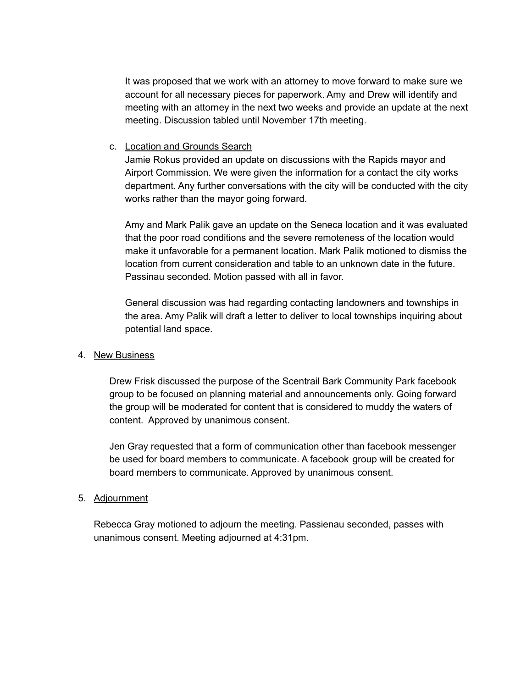It was proposed that we work with an attorney to move forward to make sure we account for all necessary pieces for paperwork. Amy and Drew will identify and meeting with an attorney in the next two weeks and provide an update at the next meeting. Discussion tabled until November 17th meeting.

### c. Location and Grounds Search

Jamie Rokus provided an update on discussions with the Rapids mayor and Airport Commission. We were given the information for a contact the city works department. Any further conversations with the city will be conducted with the city works rather than the mayor going forward.

Amy and Mark Palik gave an update on the Seneca location and it was evaluated that the poor road conditions and the severe remoteness of the location would make it unfavorable for a permanent location. Mark Palik motioned to dismiss the location from current consideration and table to an unknown date in the future. Passinau seconded. Motion passed with all in favor.

General discussion was had regarding contacting landowners and townships in the area. Amy Palik will draft a letter to deliver to local townships inquiring about potential land space.

### 4. New Business

Drew Frisk discussed the purpose of the Scentrail Bark Community Park facebook group to be focused on planning material and announcements only. Going forward the group will be moderated for content that is considered to muddy the waters of content. Approved by unanimous consent.

Jen Gray requested that a form of communication other than facebook messenger be used for board members to communicate. A facebook group will be created for board members to communicate. Approved by unanimous consent.

## 5. Adjournment

Rebecca Gray motioned to adjourn the meeting. Passienau seconded, passes with unanimous consent. Meeting adjourned at 4:31pm.